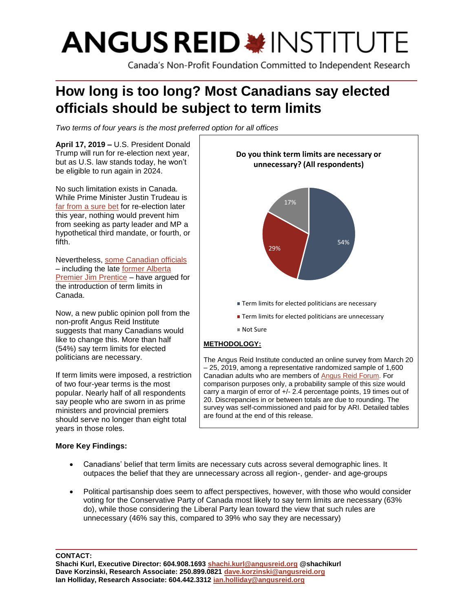# **ANGUS REID \*INSTITUTE**

Canada's Non-Profit Foundation Committed to Independent Research

## **How long is too long? Most Canadians say elected officials should be subject to term limits**

*Two terms of four years is the most preferred option for all offices*

**April 17, 2019 –** U.S. President Donald Trump will run for re-election next year, but as U.S. law stands today, he won't be eligible to run again in 2024.

No such limitation exists in Canada. While Prime Minister Justin Trudeau is [far from a sure bet](http://angusreid.org/federal-issues-mar2019/) for re-election later this year, nothing would prevent him from seeking as party leader and MP a hypothetical third mandate, or fourth, or fifth.

Nevertheless, [some Canadian officials](https://www.straight.com/news/1204236/bc-green-leader-andrew-weaver-introduces-private-members-bill-calling-term-limits-mlas) – including the late [former Alberta](https://www.macleans.ca/politics/term-limits-is-too-much-time-in-office-bad-for-a-politician/)  [Premier Jim Prentice](https://www.macleans.ca/politics/term-limits-is-too-much-time-in-office-bad-for-a-politician/) – have argued for the introduction of term limits in Canada.

Now, a new public opinion poll from the non-profit Angus Reid Institute suggests that many Canadians would like to change this. More than half (54%) say term limits for elected politicians are necessary.

If term limits were imposed, a restriction of two four-year terms is the most popular. Nearly half of all respondents say people who are sworn in as prime ministers and provincial premiers should serve no longer than eight total years in those roles.

#### **More Key Findings:**



– 25, 2019, among a representative randomized sample of 1,600 Canadian adults who are members o[f Angus](http://www.angusreidforum.com/) Reid Forum. For comparison purposes only, a probability sample of this size would carry a margin of error of +/- 2.4 percentage points, 19 times out of 20. Discrepancies in or between totals are due to rounding. The survey was self-commissioned and paid for by ARI. Detailed tables are found at the end of this release.

- Canadians' belief that term limits are necessary cuts across several demographic lines. It outpaces the belief that they are unnecessary across all region-, gender- and age-groups
- Political partisanship does seem to affect perspectives, however, with those who would consider voting for the Conservative Party of Canada most likely to say term limits are necessary (63% do), while those considering the Liberal Party lean toward the view that such rules are unnecessary (46% say this, compared to 39% who say they are necessary)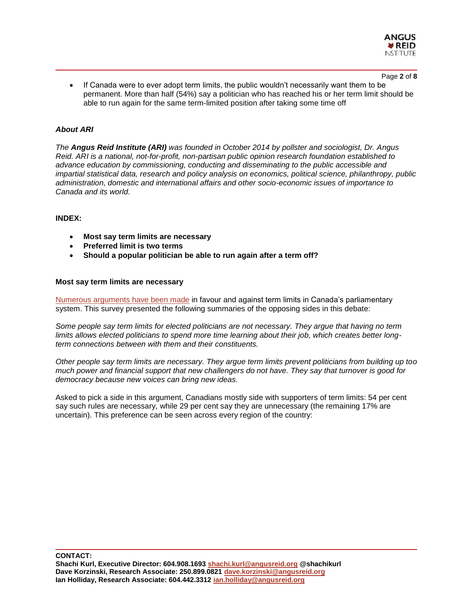

• If Canada were to ever adopt term limits, the public wouldn't necessarily want them to be permanent. More than half (54%) say a politician who has reached his or her term limit should be able to run again for the same term-limited position after taking some time off

#### *About ARI*

*The Angus Reid Institute (ARI) was founded in October 2014 by pollster and sociologist, Dr. Angus Reid. ARI is a national, not-for-profit, non-partisan public opinion research foundation established to advance education by commissioning, conducting and disseminating to the public accessible and impartial statistical data, research and policy analysis on economics, political science, philanthropy, public administration, domestic and international affairs and other socio-economic issues of importance to Canada and its world.*

#### **INDEX:**

- **Most say term limits are necessary**
- **Preferred limit is two terms**
- **Should a popular politician be able to run again after a term off?**

#### **Most say term limits are necessary**

[Numerous arguments have been made](https://www.macleans.ca/politics/term-limits-is-too-much-time-in-office-bad-for-a-politician/) in favour and against term limits in Canada's parliamentary system. This survey presented the following summaries of the opposing sides in this debate:

*Some people say term limits for elected politicians are not necessary. They argue that having no term limits allows elected politicians to spend more time learning about their job, which creates better longterm connections between with them and their constituents.* 

*Other people say term limits are necessary. They argue term limits prevent politicians from building up too much power and financial support that new challengers do not have. They say that turnover is good for democracy because new voices can bring new ideas.*

Asked to pick a side in this argument, Canadians mostly side with supporters of term limits: 54 per cent say such rules are necessary, while 29 per cent say they are unnecessary (the remaining 17% are uncertain). This preference can be seen across every region of the country: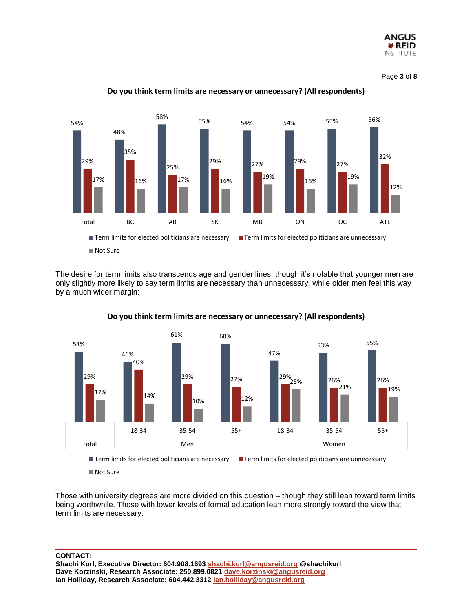

Page **3** of **8**



#### **Do you think term limits are necessary or unnecessary? (All respondents)**

The desire for term limits also transcends age and gender lines, though it's notable that younger men are only slightly more likely to say term limits are necessary than unnecessary, while older men feel this way by a much wider margin:



#### **Do you think term limits are necessary or unnecessary? (All respondents)**

Those with university degrees are more divided on this question – though they still lean toward term limits being worthwhile. Those with lower levels of formal education lean more strongly toward the view that term limits are necessary.

**CONTACT:**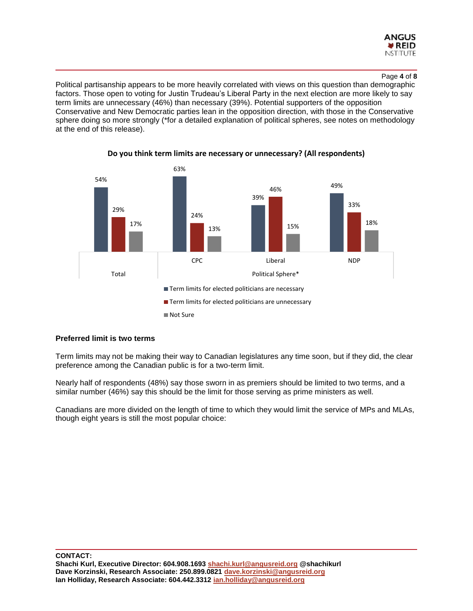

#### Page **4** of **8**

Political partisanship appears to be more heavily correlated with views on this question than demographic factors. Those open to voting for Justin Trudeau's Liberal Party in the next election are more likely to say term limits are unnecessary (46%) than necessary (39%). Potential supporters of the opposition Conservative and New Democratic parties lean in the opposition direction, with those in the Conservative sphere doing so more strongly (\*for a detailed explanation of political spheres, see notes on methodology at the end of this release).



#### **Do you think term limits are necessary or unnecessary? (All respondents)**

#### **Preferred limit is two terms**

Term limits may not be making their way to Canadian legislatures any time soon, but if they did, the clear preference among the Canadian public is for a two-term limit.

Nearly half of respondents (48%) say those sworn in as premiers should be limited to two terms, and a similar number (46%) say this should be the limit for those serving as prime ministers as well.

Canadians are more divided on the length of time to which they would limit the service of MPs and MLAs, though eight years is still the most popular choice: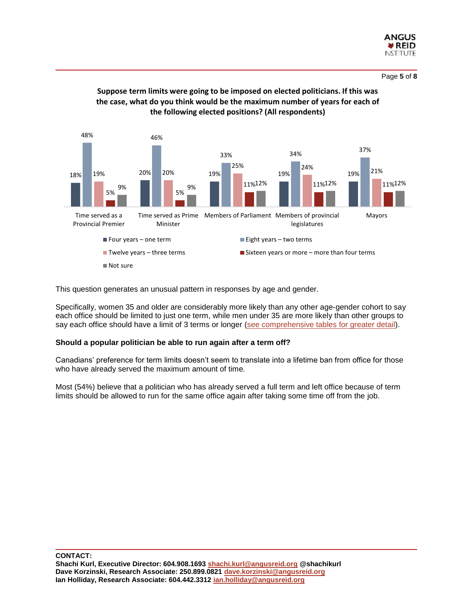



#### **Suppose term limits were going to be imposed on elected politicians. If this was the case, what do you think would be the maximum number of years for each of the following elected positions? (All respondents)**

This question generates an unusual pattern in responses by age and gender.

Specifically, women 35 and older are considerably more likely than any other age-gender cohort to say each office should be limited to just one term, while men under 35 are more likely than other groups to say each office should have a limit of 3 terms or longer [\(see comprehensive tables for greater detail\)](http://angusreid.org/wp-content/uploads/2019/04/2019.04.10-term-limits-Release-Tables.pdf).

#### **Should a popular politician be able to run again after a term off?**

Canadians' preference for term limits doesn't seem to translate into a lifetime ban from office for those who have already served the maximum amount of time.

Most (54%) believe that a politician who has already served a full term and left office because of term limits should be allowed to run for the same office again after taking some time off from the job.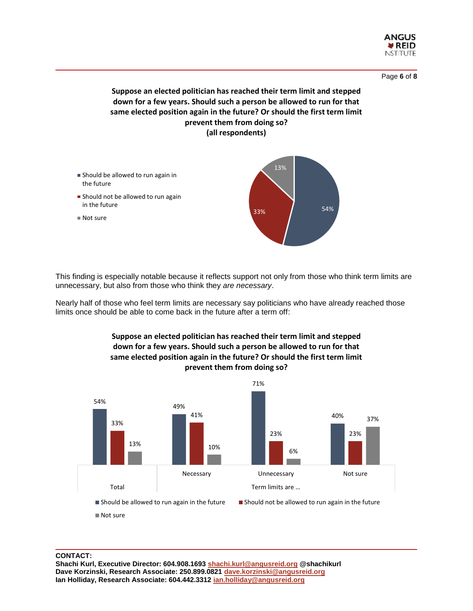

#### Page **6** of **8**

#### **Suppose an elected politician has reached their term limit and stepped down for a few years. Should such a person be allowed to run for that same elected position again in the future? Or should the first term limit prevent them from doing so? (all respondents)**



This finding is especially notable because it reflects support not only from those who think term limits are unnecessary, but also from those who think they *are necessary*.

Nearly half of those who feel term limits are necessary say politicians who have already reached those limits once should be able to come back in the future after a term off:



### **Suppose an elected politician has reached their term limit and stepped down for a few years. Should such a person be allowed to run for that same elected position again in the future? Or should the first term limit**

Not sure

**CONTACT: Shachi Kurl, Executive Director: 604.908.1693 [shachi.kurl@angusreid.org](mailto:shachi.kurl@angusreid.org) @shachikurl Dave Korzinski, Research Associate: 250.899.0821 [dave.korzinski@angusreid.org](mailto:dave.korzinski@angusreid.org) Ian Holliday, Research Associate: 604.442.3312 [ian.holliday@angusreid.org](mailto:ian.holliday@angusreid.org)**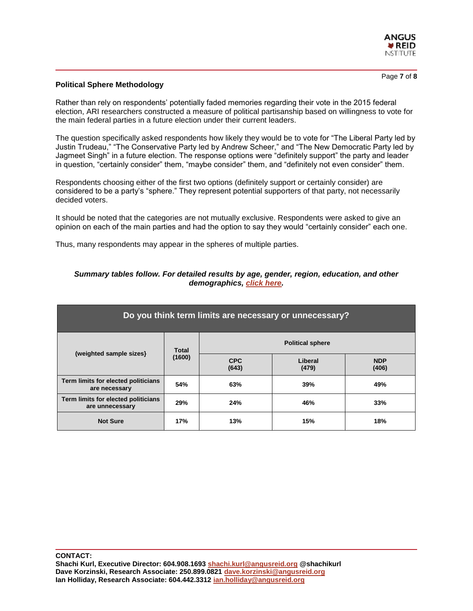

Page **7** of **8**

#### **Political Sphere Methodology**

Rather than rely on respondents' potentially faded memories regarding their vote in the 2015 federal election, ARI researchers constructed a measure of political partisanship based on willingness to vote for the main federal parties in a future election under their current leaders.

The question specifically asked respondents how likely they would be to vote for "The Liberal Party led by Justin Trudeau," "The Conservative Party led by Andrew Scheer," and "The New Democratic Party led by Jagmeet Singh" in a future election. The response options were "definitely support" the party and leader in question, "certainly consider" them, "maybe consider" them, and "definitely not even consider" them.

Respondents choosing either of the first two options (definitely support or certainly consider) are considered to be a party's "sphere." They represent potential supporters of that party, not necessarily decided voters.

It should be noted that the categories are not mutually exclusive. Respondents were asked to give an opinion on each of the main parties and had the option to say they would "certainly consider" each one.

Thus, many respondents may appear in the spheres of multiple parties.

| Do you think term limits are necessary or unnecessary? |                 |                         |                  |                     |
|--------------------------------------------------------|-----------------|-------------------------|------------------|---------------------|
| (weighted sample sizes)                                | Total<br>(1600) | <b>Political sphere</b> |                  |                     |
|                                                        |                 | <b>CPC</b><br>(643)     | Liberal<br>(479) | <b>NDP</b><br>(406) |
| Term limits for elected politicians<br>are necessary   | 54%             | 63%                     | 39%              | 49%                 |
| Term limits for elected politicians<br>are unnecessary | 29%             | 24%                     | 46%              | 33%                 |
| <b>Not Sure</b>                                        | 17%             | 13%                     | 15%              | 18%                 |

#### *Summary tables follow. For detailed results by age, gender, region, education, and other demographics, [click here.](http://angusreid.org/wp-content/uploads/2019/04/2019.04.10-term-limits-Release-Tables.pdf)*